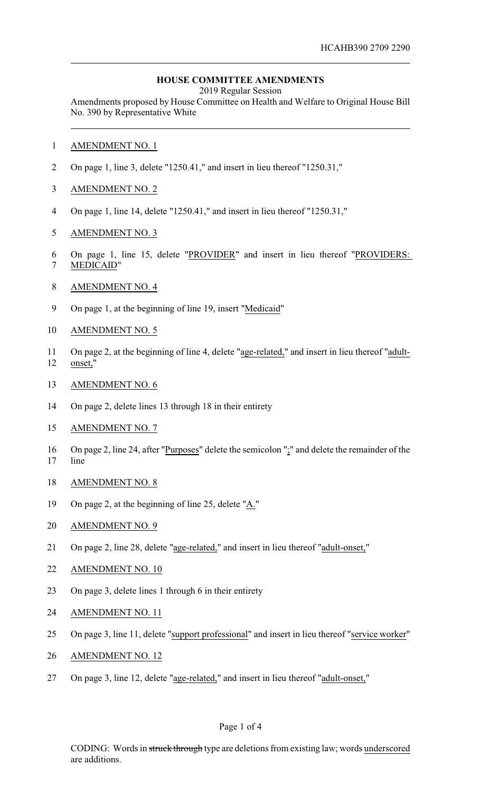## **HOUSE COMMITTEE AMENDMENTS**

2019 Regular Session

Amendments proposed by House Committee on Health and Welfare to Original House Bill No. 390 by Representative White

- AMENDMENT NO. 1
- On page 1, line 3, delete "1250.41," and insert in lieu thereof "1250.31,"
- AMENDMENT NO. 2
- On page 1, line 14, delete "1250.41," and insert in lieu thereof "1250.31,"
- AMENDMENT NO. 3
- On page 1, line 15, delete "PROVIDER" and insert in lieu thereof "PROVIDERS:
- MEDICAID"
- AMENDMENT NO. 4
- On page 1, at the beginning of line 19, insert "Medicaid"
- AMENDMENT NO. 5
- On page 2, at the beginning of line 4, delete "age-related," and insert in lieu thereof "adult-onset,"
- AMENDMENT NO. 6
- On page 2, delete lines 13 through 18 in their entirety
- AMENDMENT NO. 7
- 16 On page 2, line 24, after "Purposes" delete the semicolon ";" and delete the remainder of the line
- AMENDMENT NO. 8
- On page 2, at the beginning of line 25, delete "A."
- AMENDMENT NO. 9
- On page 2, line 28, delete "age-related," and insert in lieu thereof "adult-onset,"
- AMENDMENT NO. 10
- On page 3, delete lines 1 through 6 in their entirety
- AMENDMENT NO. 11
- On page 3, line 11, delete "support professional" and insert in lieu thereof "service worker"
- AMENDMENT NO. 12
- On page 3, line 12, delete "age-related," and insert in lieu thereof "adult-onset,"

#### Page 1 of 4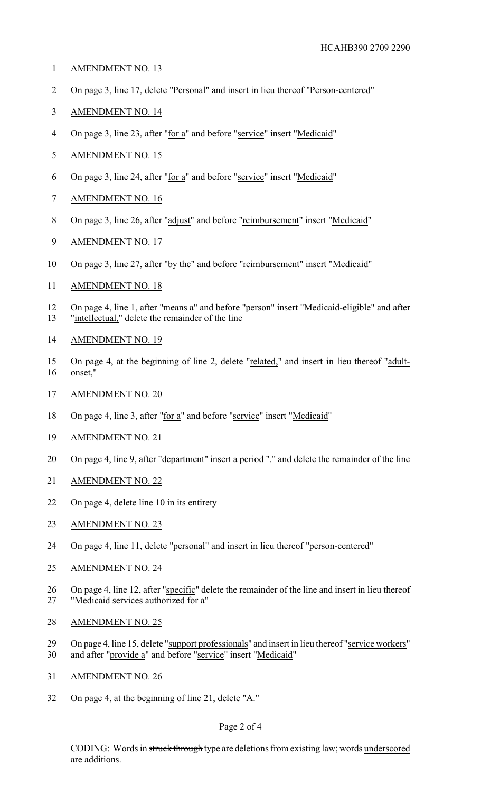- AMENDMENT NO. 13
- On page 3, line 17, delete "Personal" and insert in lieu thereof "Person-centered"
- AMENDMENT NO. 14
- 4 On page 3, line 23, after "for a" and before "service" insert "Medicaid"
- AMENDMENT NO. 15
- On page 3, line 24, after "for a" and before "service" insert "Medicaid"
- AMENDMENT NO. 16
- On page 3, line 26, after "adjust" and before "reimbursement" insert "Medicaid"
- AMENDMENT NO. 17
- On page 3, line 27, after "by the" and before "reimbursement" insert "Medicaid"
- AMENDMENT NO. 18
- 12 On page 4, line 1, after "means a" and before "person" insert "Medicaid-eligible" and after "intellectual," delete the remainder of the line
- AMENDMENT NO. 19
- On page 4, at the beginning of line 2, delete "related," and insert in lieu thereof "adult-onset,"
- AMENDMENT NO. 20
- 18 On page 4, line 3, after "for a" and before "service" insert "Medicaid"
- AMENDMENT NO. 21
- 20 On page 4, line 9, after "department" insert a period "." and delete the remainder of the line
- AMENDMENT NO. 22
- On page 4, delete line 10 in its entirety
- 23 AMENDMENT NO. 23
- On page 4, line 11, delete "personal" and insert in lieu thereof "person-centered"
- AMENDMENT NO. 24
- On page 4, line 12, after "specific" delete the remainder of the line and insert in lieu thereof "Medicaid services authorized for a"
- AMENDMENT NO. 25
- 29 On page 4, line 15, delete "support professionals" and insert in lieu thereof "service workers"
- and after "provide a" and before "service" insert "Medicaid"
- AMENDMENT NO. 26
- On page 4, at the beginning of line 21, delete "A."

## Page 2 of 4

CODING: Words in struck through type are deletions from existing law; words underscored are additions.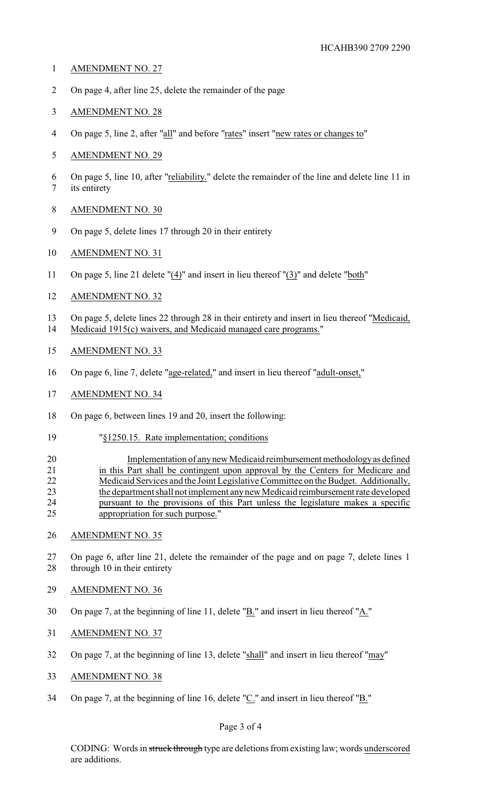- AMENDMENT NO. 27
- On page 4, after line 25, delete the remainder of the page
- AMENDMENT NO. 28
- 4 On page 5, line 2, after "all" and before "rates" insert "new rates or changes to"
- AMENDMENT NO. 29
- On page 5, line 10, after "reliability." delete the remainder of the line and delete line 11 in its entirety
- AMENDMENT NO. 30
- On page 5, delete lines 17 through 20 in their entirety
- AMENDMENT NO. 31
- On page 5, line 21 delete "(4)" and insert in lieu thereof "(3)" and delete "both"
- AMENDMENT NO. 32
- On page 5, delete lines 22 through 28 in their entirety and insert in lieu thereof "Medicaid, Medicaid 1915(c) waivers, and Medicaid managed care programs."
- AMENDMENT NO. 33
- On page 6, line 7, delete "age-related," and insert in lieu thereof "adult-onset,"
- AMENDMENT NO. 34
- On page 6, between lines 19 and 20, insert the following:
- "§1250.15. Rate implementation; conditions

# 20 Implementation of any new Medicaid reimbursement methodology as defined in this Part shall be contingent upon approval by the Centers for Medicare and Medicaid Services and the Joint Legislative Committee on the Budget. Additionally, the department shall not implement anynew Medicaid reimbursement rate developed pursuant to the provisions of this Part unless the legislature makes a specific appropriation for such purpose."

AMENDMENT NO. 35

 On page 6, after line 21, delete the remainder of the page and on page 7, delete lines 1 28 through 10 in their entirety

- AMENDMENT NO. 36
- On page 7, at the beginning of line 11, delete "B." and insert in lieu thereof "A."
- AMENDMENT NO. 37
- On page 7, at the beginning of line 13, delete "shall" and insert in lieu thereof "may"
- AMENDMENT NO. 38
- On page 7, at the beginning of line 16, delete "C." and insert in lieu thereof "B."

## Page 3 of 4

CODING: Words in struck through type are deletions from existing law; words underscored are additions.